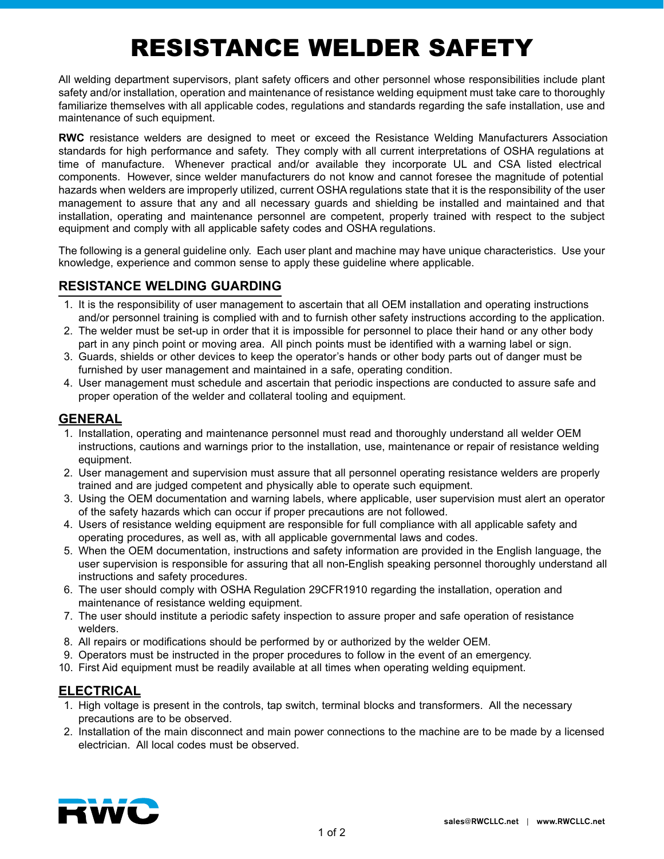# RESISTANCE WELDER SAFETY

All welding department supervisors, plant safety officers and other personnel whose responsibilities include plant safety and/or installation, operation and maintenance of resistance welding equipment must take care to thoroughly familiarize themselves with all applicable codes, regulations and standards regarding the safe installation, use and maintenance of such equipment.

**RWC** resistance welders are designed to meet or exceed the Resistance Welding Manufacturers Association standards for high performance and safety. They comply with all current interpretations of OSHA regulations at time of manufacture. Whenever practical and/or available they incorporate UL and CSA listed electrical components. However, since welder manufacturers do not know and cannot foresee the magnitude of potential hazards when welders are improperly utilized, current OSHA regulations state that it is the responsibility of the user management to assure that any and all necessary guards and shielding be installed and maintained and that installation, operating and maintenance personnel are competent, properly trained with respect to the subject equipment and comply with all applicable safety codes and OSHA regulations.

The following is a general guideline only. Each user plant and machine may have unique characteristics. Use your knowledge, experience and common sense to apply these guideline where applicable.

# **RESISTANCE WELDING GUARDING**

- 1. It is the responsibility of user management to ascertain that all OEM installation and operating instructions and/or personnel training is complied with and to furnish other safety instructions according to the application.
- 2. The welder must be set-up in order that it is impossible for personnel to place their hand or any other body part in any pinch point or moving area. All pinch points must be identified with a warning label or sign.
- 3. Guards, shields or other devices to keep the operator' s hands or other body parts out of danger must be furnished by user management and maintained in a safe, operating condition.
- 4. User management must schedule and ascertain that periodic inspections are conducted to assure safe and proper operation of the welder and collateral tooling and equipment.

## **GENERAL**

- 1. Installation, operating and maintenance personnel must read and thoroughly understand all welder OEM instructions, cautions and warnings prior to the installation, use, maintenance or repair of resistance welding equipment.
- 2. User management and supervision must assure that all personnel operating resistance welders are properly trained and are judged competent and physically able to operate such equipment.
- 3. Using the OEM documentation and warning labels, where applicable, user supervision must alert an operator of the safety hazards which can occur if proper precautions are not followed.
- 4. Users of resistance welding equipment are responsible for full compliance with all applicable safety and operating procedures, as well as, with all applicable governmental laws and codes.
- 5. When the OEM documentation, instructions and safety information are provided in the English language, the user supervision is responsible for assuring that all non-English speaking personnel thoroughly understand all instructions and safety procedures.
- 6. The user should comply with OSHA Regulation 29CFR1910 regarding the installation, operation and maintenance of resistance welding equipment.
- 7. The user should institute a periodic safety inspection to assure proper and safe operation of resistance welders.
- 8. All repairs or modifications should be performed by or authorized by the welder OEM.
- 9. Operators must be instructed in the proper procedures to follow in the event of an emergency.
- 10. First Aid equipment must be readily available at all times when operating welding equipment.

### **ELECTRICAL**

- 1. High voltage is present in the controls, tap switch, terminal blocks and transformers. All the necessary precautions are to be observed.
- 2. Installation of the main disconnect and main power connections to the machine are to be made by a licensed electrician. All local codes must be observed.